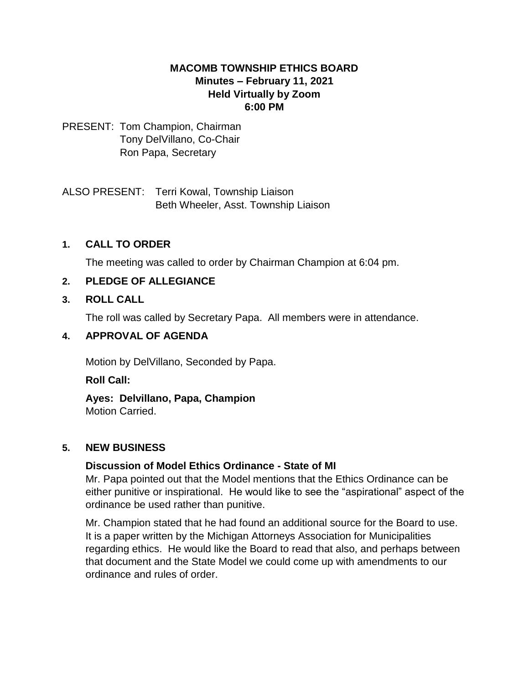# **MACOMB TOWNSHIP ETHICS BOARD Minutes – February 11, 2021 Held Virtually by Zoom 6:00 PM**

#### PRESENT: Tom Champion, Chairman Tony DelVillano, Co-Chair Ron Papa, Secretary

ALSO PRESENT: Terri Kowal, Township Liaison Beth Wheeler, Asst. Township Liaison

# **1. CALL TO ORDER**

The meeting was called to order by Chairman Champion at 6:04 pm.

# **2. PLEDGE OF ALLEGIANCE**

# **3. ROLL CALL**

The roll was called by Secretary Papa. All members were in attendance.

# **4. APPROVAL OF AGENDA**

Motion by DelVillano, Seconded by Papa.

**Roll Call:** 

# **Ayes: Delvillano, Papa, Champion**

Motion Carried.

# **5. NEW BUSINESS**

# **Discussion of Model Ethics Ordinance - State of MI**

Mr. Papa pointed out that the Model mentions that the Ethics Ordinance can be either punitive or inspirational. He would like to see the "aspirational" aspect of the ordinance be used rather than punitive.

Mr. Champion stated that he had found an additional source for the Board to use. It is a paper written by the Michigan Attorneys Association for Municipalities regarding ethics. He would like the Board to read that also, and perhaps between that document and the State Model we could come up with amendments to our ordinance and rules of order.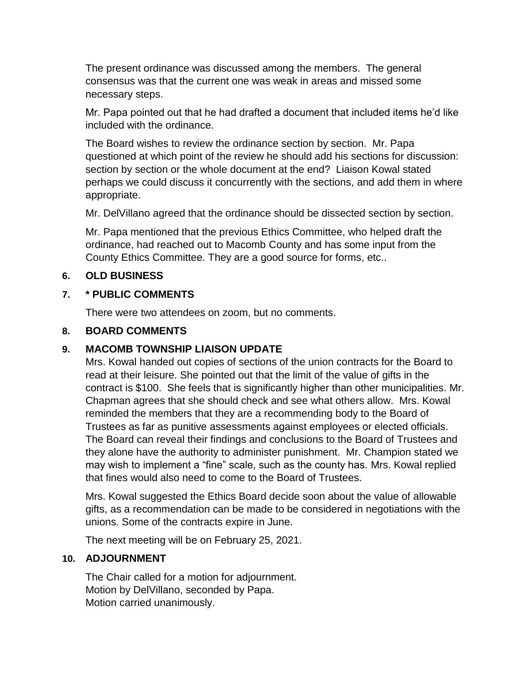The present ordinance was discussed among the members. The general consensus was that the current one was weak in areas and missed some necessary steps.

Mr. Papa pointed out that he had drafted a document that included items he'd like included with the ordinance.

The Board wishes to review the ordinance section by section. Mr. Papa questioned at which point of the review he should add his sections for discussion: section by section or the whole document at the end? Liaison Kowal stated perhaps we could discuss it concurrently with the sections, and add them in where appropriate.

Mr. DelVillano agreed that the ordinance should be dissected section by section.

Mr. Papa mentioned that the previous Ethics Committee, who helped draft the ordinance, had reached out to Macomb County and has some input from the County Ethics Committee. They are a good source for forms, etc..

#### **6. OLD BUSINESS**

#### **7. \* PUBLIC COMMENTS**

There were two attendees on zoom, but no comments.

#### **8. BOARD COMMENTS**

# **9. MACOMB TOWNSHIP LIAISON UPDATE**

Mrs. Kowal handed out copies of sections of the union contracts for the Board to read at their leisure. She pointed out that the limit of the value of gifts in the contract is \$100. She feels that is significantly higher than other municipalities. Mr. Chapman agrees that she should check and see what others allow. Mrs. Kowal reminded the members that they are a recommending body to the Board of Trustees as far as punitive assessments against employees or elected officials. The Board can reveal their findings and conclusions to the Board of Trustees and they alone have the authority to administer punishment. Mr. Champion stated we may wish to implement a "fine" scale, such as the county has. Mrs. Kowal replied that fines would also need to come to the Board of Trustees.

Mrs. Kowal suggested the Ethics Board decide soon about the value of allowable gifts, as a recommendation can be made to be considered in negotiations with the unions. Some of the contracts expire in June.

The next meeting will be on February 25, 2021.

#### **10. ADJOURNMENT**

The Chair called for a motion for adjournment. Motion by DelVillano, seconded by Papa. Motion carried unanimously.